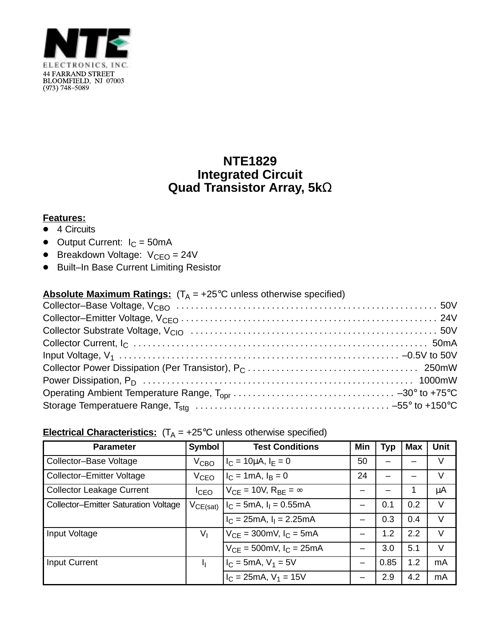

## **NTE1829 Integrated Circuit Quad Transistor Array, 5k**Ω

## **Features:**

- $\bullet$  4 Circuits
- $\bullet$  Output Current:  $I_C = 50 \text{mA}$
- $\bullet$  Breakdown Voltage:  $V_{CEO} = 24V$
- Built–In Base Current Limiting Resistor

| <b>Absolute Maximum Ratings:</b> $(T_A = +25^{\circ}C$ unless otherwise specified) |  |
|------------------------------------------------------------------------------------|--|
|                                                                                    |  |
|                                                                                    |  |
|                                                                                    |  |
|                                                                                    |  |
|                                                                                    |  |
|                                                                                    |  |
|                                                                                    |  |
|                                                                                    |  |
|                                                                                    |  |

## **Electrical Characteristics:**  $(T_A = +25^{\circ}C$  unless otherwise specified)

| <b>Parameter</b>                            | <b>Symbol</b>      | <b>Test Conditions</b>              | Min | <b>Typ</b> | <b>Max</b> | <b>Unit</b> |
|---------------------------------------------|--------------------|-------------------------------------|-----|------------|------------|-------------|
| Collector-Base Voltage                      | $V_{\mathsf{CBO}}$ | $I_C = 10 \mu A$ , $I_F = 0$        | 50  |            |            | V           |
| Collector-Emitter Voltage                   | V <sub>CEO</sub>   | $I_C = 1 \text{ mA}, I_B = 0$       | 24  |            |            | V           |
| <b>Collector Leakage Current</b>            | $I_{CEO}$          | $V_{CF}$ = 10V, $R_{BF}$ = $\infty$ |     |            |            | μA          |
| <b>Collector-Emitter Saturation Voltage</b> | $V_{CE(sat)}$      | $I_C = 5mA$ , $I_1 = 0.55mA$        |     | 0.1        | 0.2        | V           |
|                                             |                    | $I_C = 25mA, I_1 = 2.25mA$          |     | 0.3        | 0.4        | V           |
| Input Voltage                               | $V_{\parallel}$    | $V_{CF} = 300$ mV, $I_C = 5$ mA     |     | 1.2        | 2.2        | V           |
|                                             |                    | $V_{CF} = 500$ mV, $I_C = 25$ mA    |     | 3.0        | 5.1        | V           |
| <b>Input Current</b>                        | łį.                | $I_C = 5mA, V_1 = 5V$               |     | 0.85       | 1.2        | mA          |
|                                             |                    | $I_C = 25 \text{mA}, V_1 = 15V$     |     | 2.9        | 4.2        | mA          |